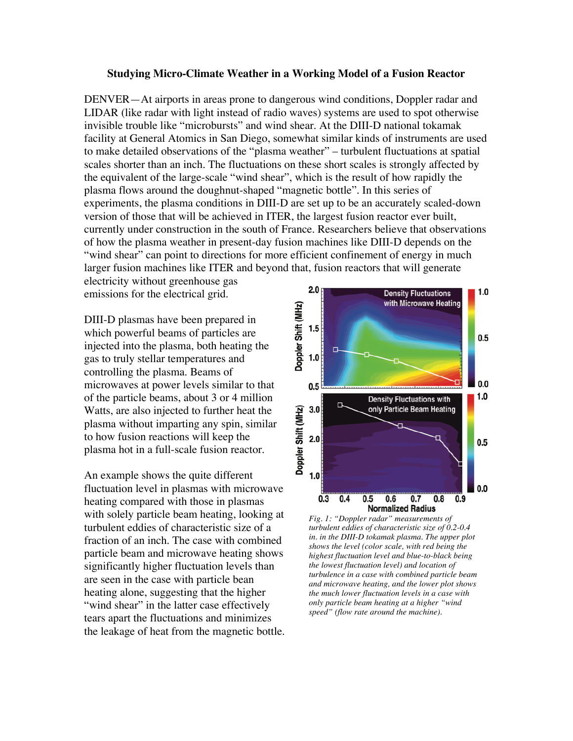## **Studying Micro-Climate Weather in a Working Model of a Fusion Reactor**

DENVER—At airports in areas prone to dangerous wind conditions, Doppler radar and LIDAR (like radar with light instead of radio waves) systems are used to spot otherwise invisible trouble like "microbursts" and wind shear. At the DIII-D national tokamak facility at General Atomics in San Diego, somewhat similar kinds of instruments are used to make detailed observations of the "plasma weather" – turbulent fluctuations at spatial scales shorter than an inch. The fluctuations on these short scales is strongly affected by the equivalent of the large-scale "wind shear", which is the result of how rapidly the plasma flows around the doughnut-shaped "magnetic bottle". In this series of experiments, the plasma conditions in DIII-D are set up to be an accurately scaled-down version of those that will be achieved in ITER, the largest fusion reactor ever built, currently under construction in the south of France. Researchers believe that observations of how the plasma weather in present-day fusion machines like DIII-D depends on the "wind shear" can point to directions for more efficient confinement of energy in much larger fusion machines like ITER and beyond that, fusion reactors that will generate

electricity without greenhouse gas emissions for the electrical grid.

DIII-D plasmas have been prepared in which powerful beams of particles are injected into the plasma, both heating the gas to truly stellar temperatures and controlling the plasma. Beams of microwaves at power levels similar to that of the particle beams, about 3 or 4 million Watts, are also injected to further heat the plasma without imparting any spin, similar to how fusion reactions will keep the plasma hot in a full-scale fusion reactor.

An example shows the quite different fluctuation level in plasmas with microwave heating compared with those in plasmas with solely particle beam heating, looking at turbulent eddies of characteristic size of a fraction of an inch. The case with combined particle beam and microwave heating shows significantly higher fluctuation levels than are seen in the case with particle bean heating alone, suggesting that the higher "wind shear" in the latter case effectively tears apart the fluctuations and minimizes the leakage of heat from the magnetic bottle.



*Fig. 1: "Doppler radar" measurements of turbulent eddies of characteristic size of 0.2-0.4 in. in the DIII-D tokamak plasma. The upper plot shows the level (color scale, with red being the highest fluctuation level and blue-to-black being the lowest fluctuation level) and location of turbulence in a case with combined particle beam and microwave heating, and the lower plot shows the much lower fluctuation levels in a case with only particle beam heating at a higher "wind speed" (flow rate around the machine).*